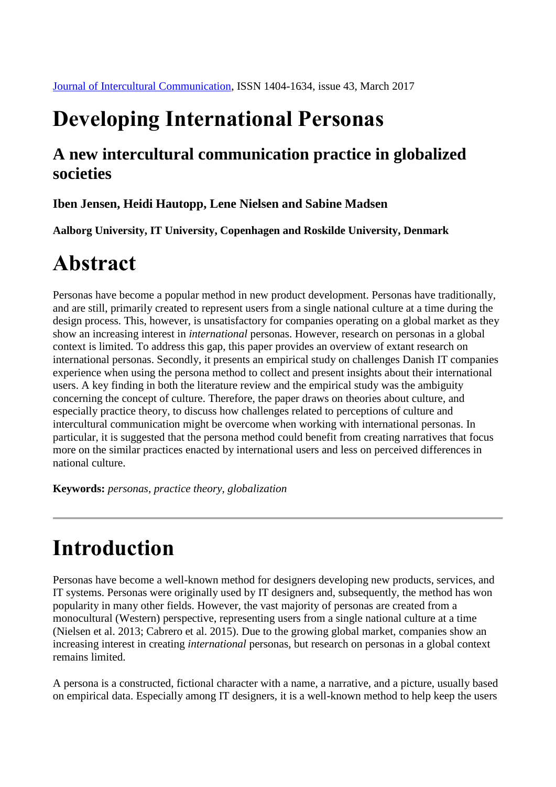## **Developing International Personas**

### **A new intercultural communication practice in globalized societies**

#### **Iben Jensen, Heidi Hautopp, Lene Nielsen and Sabine Madsen**

**Aalborg University, IT University, Copenhagen and Roskilde University, Denmark**

# **Abstract**

Personas have become a popular method in new product development. Personas have traditionally, and are still, primarily created to represent users from a single national culture at a time during the design process. This, however, is unsatisfactory for companies operating on a global market as they show an increasing interest in *international* personas. However, research on personas in a global context is limited. To address this gap, this paper provides an overview of extant research on international personas. Secondly, it presents an empirical study on challenges Danish IT companies experience when using the persona method to collect and present insights about their international users. A key finding in both the literature review and the empirical study was the ambiguity concerning the concept of culture. Therefore, the paper draws on theories about culture, and especially practice theory, to discuss how challenges related to perceptions of culture and intercultural communication might be overcome when working with international personas. In particular, it is suggested that the persona method could benefit from creating narratives that focus more on the similar practices enacted by international users and less on perceived differences in national culture.

**Keywords:** *personas, practice theory, globalization*

# **Introduction**

Personas have become a well-known method for designers developing new products, services, and IT systems. Personas were originally used by IT designers and, subsequently, the method has won popularity in many other fields. However, the vast majority of personas are created from a monocultural (Western) perspective, representing users from a single national culture at a time (Nielsen et al. 2013; Cabrero et al. 2015). Due to the growing global market, companies show an increasing interest in creating *international* personas, but research on personas in a global context remains limited.

A persona is a constructed, fictional character with a name, a narrative, and a picture, usually based on empirical data. Especially among IT designers, it is a well-known method to help keep the users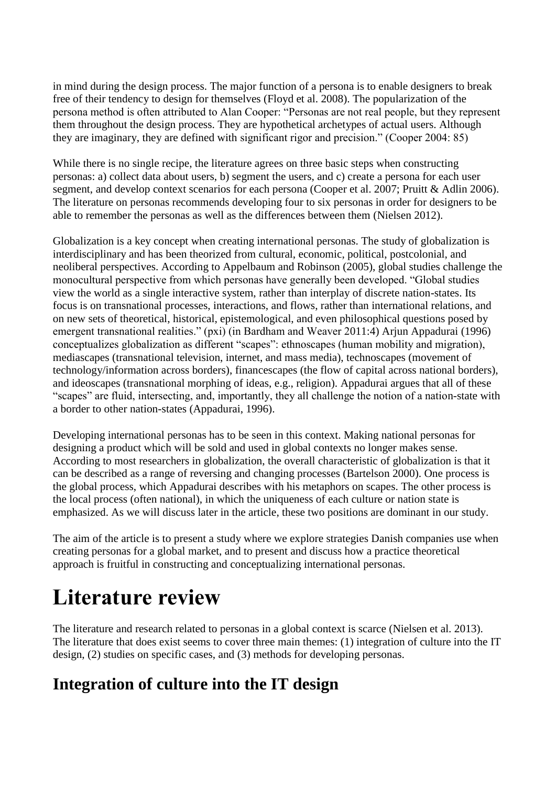in mind during the design process. The major function of a persona is to enable designers to break free of their tendency to design for themselves (Floyd et al. 2008). The popularization of the persona method is often attributed to Alan Cooper: "Personas are not real people, but they represent them throughout the design process. They are hypothetical archetypes of actual users. Although they are imaginary, they are defined with significant rigor and precision." (Cooper 2004: 85)

While there is no single recipe, the literature agrees on three basic steps when constructing personas: a) collect data about users, b) segment the users, and c) create a persona for each user segment, and develop context scenarios for each persona (Cooper et al. 2007; Pruitt & Adlin 2006). The literature on personas recommends developing four to six personas in order for designers to be able to remember the personas as well as the differences between them (Nielsen 2012).

Globalization is a key concept when creating international personas. The study of globalization is interdisciplinary and has been theorized from cultural, economic, political, postcolonial, and neoliberal perspectives. According to Appelbaum and Robinson (2005), global studies challenge the monocultural perspective from which personas have generally been developed. "Global studies view the world as a single interactive system, rather than interplay of discrete nation-states. Its focus is on transnational processes, interactions, and flows, rather than international relations, and on new sets of theoretical, historical, epistemological, and even philosophical questions posed by emergent transnational realities." (pxi) (in Bardham and Weaver 2011:4) Arjun Appadurai (1996) conceptualizes globalization as different "scapes": ethnoscapes (human mobility and migration), mediascapes (transnational television, internet, and mass media), technoscapes (movement of technology/information across borders), financescapes (the flow of capital across national borders), and ideoscapes (transnational morphing of ideas, e.g., religion). Appadurai argues that all of these "scapes" are fluid, intersecting, and, importantly, they all challenge the notion of a nation-state with a border to other nation-states (Appadurai, 1996).

Developing international personas has to be seen in this context. Making national personas for designing a product which will be sold and used in global contexts no longer makes sense. According to most researchers in globalization, the overall characteristic of globalization is that it can be described as a range of reversing and changing processes (Bartelson 2000). One process is the global process, which Appadurai describes with his metaphors on scapes. The other process is the local process (often national), in which the uniqueness of each culture or nation state is emphasized. As we will discuss later in the article, these two positions are dominant in our study.

The aim of the article is to present a study where we explore strategies Danish companies use when creating personas for a global market, and to present and discuss how a practice theoretical approach is fruitful in constructing and conceptualizing international personas.

## **Literature review**

The literature and research related to personas in a global context is scarce (Nielsen et al. 2013). The literature that does exist seems to cover three main themes: (1) integration of culture into the IT design, (2) studies on specific cases, and (3) methods for developing personas.

### **Integration of culture into the IT design**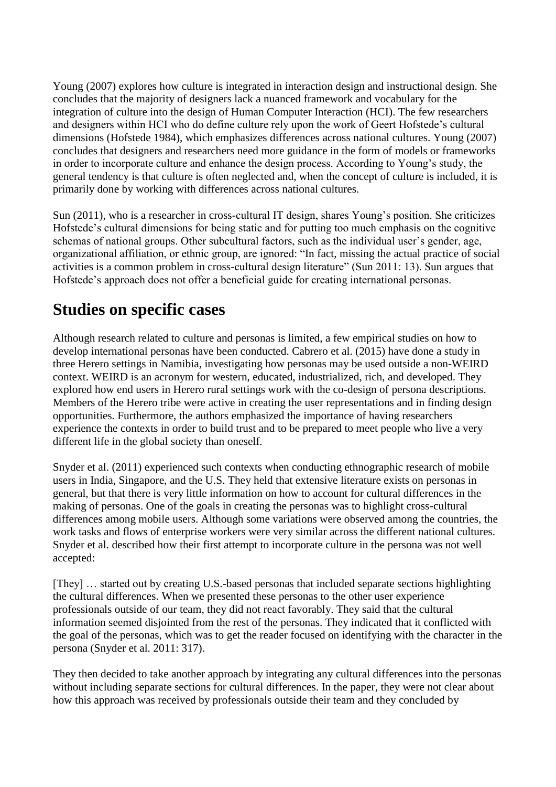Young (2007) explores how culture is integrated in interaction design and instructional design. She concludes that the majority of designers lack a nuanced framework and vocabulary for the integration of culture into the design of Human Computer Interaction (HCI). The few researchers and designers within HCI who do define culture rely upon the work of Geert Hofstede's cultural dimensions (Hofstede 1984), which emphasizes differences across national cultures. Young (2007) concludes that designers and researchers need more guidance in the form of models or frameworks in order to incorporate culture and enhance the design process. According to Young's study, the general tendency is that culture is often neglected and, when the concept of culture is included, it is primarily done by working with differences across national cultures.

Sun (2011), who is a researcher in cross-cultural IT design, shares Young's position. She criticizes Hofstede's cultural dimensions for being static and for putting too much emphasis on the cognitive schemas of national groups. Other subcultural factors, such as the individual user's gender, age, organizational affiliation, or ethnic group, are ignored: "In fact, missing the actual practice of social activities is a common problem in cross-cultural design literature" (Sun 2011: 13). Sun argues that Hofstede's approach does not offer a beneficial guide for creating international personas.

### **Studies on specific cases**

Although research related to culture and personas is limited, a few empirical studies on how to develop international personas have been conducted. Cabrero et al. (2015) have done a study in three Herero settings in Namibia, investigating how personas may be used outside a non-WEIRD context. WEIRD is an acronym for western, educated, industrialized, rich, and developed. They explored how end users in Herero rural settings work with the co-design of persona descriptions. Members of the Herero tribe were active in creating the user representations and in finding design opportunities. Furthermore, the authors emphasized the importance of having researchers experience the contexts in order to build trust and to be prepared to meet people who live a very different life in the global society than oneself.

Snyder et al. (2011) experienced such contexts when conducting ethnographic research of mobile users in India, Singapore, and the U.S. They held that extensive literature exists on personas in general, but that there is very little information on how to account for cultural differences in the making of personas. One of the goals in creating the personas was to highlight cross-cultural differences among mobile users. Although some variations were observed among the countries, the work tasks and flows of enterprise workers were very similar across the different national cultures. Snyder et al. described how their first attempt to incorporate culture in the persona was not well accepted:

[They] … started out by creating U.S.-based personas that included separate sections highlighting the cultural differences. When we presented these personas to the other user experience professionals outside of our team, they did not react favorably. They said that the cultural information seemed disjointed from the rest of the personas. They indicated that it conflicted with the goal of the personas, which was to get the reader focused on identifying with the character in the persona (Snyder et al. 2011: 317).

They then decided to take another approach by integrating any cultural differences into the personas without including separate sections for cultural differences. In the paper, they were not clear about how this approach was received by professionals outside their team and they concluded by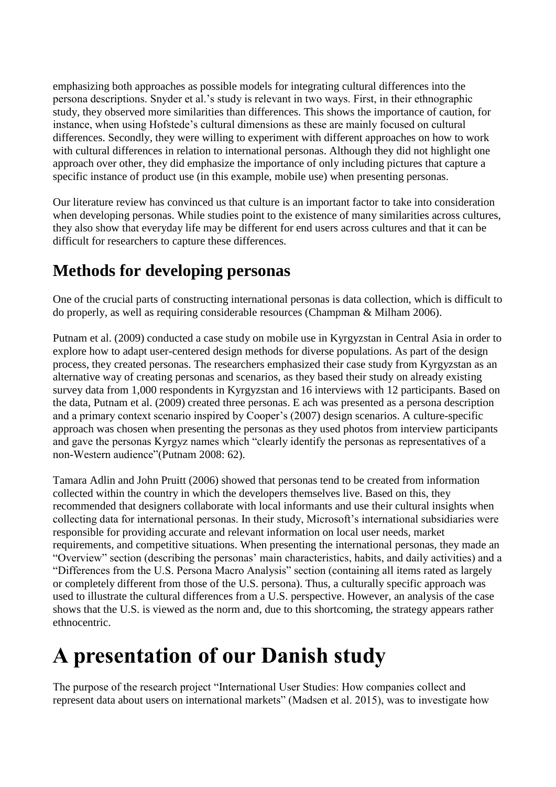emphasizing both approaches as possible models for integrating cultural differences into the persona descriptions. Snyder et al.'s study is relevant in two ways. First, in their ethnographic study, they observed more similarities than differences. This shows the importance of caution, for instance, when using Hofstede's cultural dimensions as these are mainly focused on cultural differences. Secondly, they were willing to experiment with different approaches on how to work with cultural differences in relation to international personas. Although they did not highlight one approach over other, they did emphasize the importance of only including pictures that capture a specific instance of product use (in this example, mobile use) when presenting personas.

Our literature review has convinced us that culture is an important factor to take into consideration when developing personas. While studies point to the existence of many similarities across cultures, they also show that everyday life may be different for end users across cultures and that it can be difficult for researchers to capture these differences.

### **Methods for developing personas**

One of the crucial parts of constructing international personas is data collection, which is difficult to do properly, as well as requiring considerable resources (Champman & Milham 2006).

Putnam et al. (2009) conducted a case study on mobile use in Kyrgyzstan in Central Asia in order to explore how to adapt user-centered design methods for diverse populations. As part of the design process, they created personas. The researchers emphasized their case study from Kyrgyzstan as an alternative way of creating personas and scenarios, as they based their study on already existing survey data from 1,000 respondents in Kyrgyzstan and 16 interviews with 12 participants. Based on the data, Putnam et al. (2009) created three personas. E ach was presented as a persona description and a primary context scenario inspired by Cooper's (2007) design scenarios. A culture-specific approach was chosen when presenting the personas as they used photos from interview participants and gave the personas Kyrgyz names which "clearly identify the personas as representatives of a non-Western audience"(Putnam 2008: 62).

Tamara Adlin and John Pruitt (2006) showed that personas tend to be created from information collected within the country in which the developers themselves live. Based on this, they recommended that designers collaborate with local informants and use their cultural insights when collecting data for international personas. In their study, Microsoft's international subsidiaries were responsible for providing accurate and relevant information on local user needs, market requirements, and competitive situations. When presenting the international personas, they made an "Overview" section (describing the personas' main characteristics, habits, and daily activities) and a "Differences from the U.S. Persona Macro Analysis" section (containing all items rated as largely or completely different from those of the U.S. persona). Thus, a culturally specific approach was used to illustrate the cultural differences from a U.S. perspective. However, an analysis of the case shows that the U.S. is viewed as the norm and, due to this shortcoming, the strategy appears rather ethnocentric.

# **A presentation of our Danish study**

The purpose of the research project "International User Studies: How companies collect and represent data about users on international markets" (Madsen et al. 2015), was to investigate how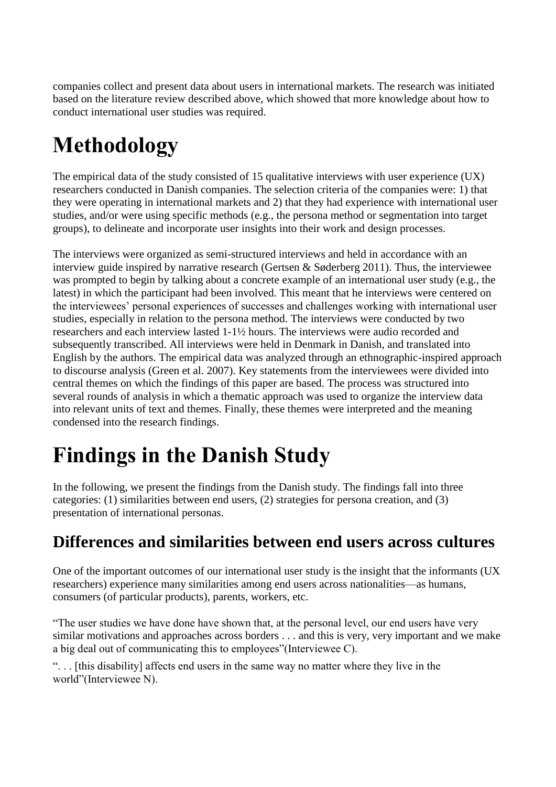companies collect and present data about users in international markets. The research was initiated based on the literature review described above, which showed that more knowledge about how to conduct international user studies was required.

# **Methodology**

The empirical data of the study consisted of 15 qualitative interviews with user experience (UX) researchers conducted in Danish companies. The selection criteria of the companies were: 1) that they were operating in international markets and 2) that they had experience with international user studies, and/or were using specific methods (e.g., the persona method or segmentation into target groups), to delineate and incorporate user insights into their work and design processes.

The interviews were organized as semi-structured interviews and held in accordance with an interview guide inspired by narrative research (Gertsen & Søderberg 2011). Thus, the interviewee was prompted to begin by talking about a concrete example of an international user study (e.g., the latest) in which the participant had been involved. This meant that he interviews were centered on the interviewees' personal experiences of successes and challenges working with international user studies, especially in relation to the persona method. The interviews were conducted by two researchers and each interview lasted 1-1½ hours. The interviews were audio recorded and subsequently transcribed. All interviews were held in Denmark in Danish, and translated into English by the authors. The empirical data was analyzed through an ethnographic-inspired approach to discourse analysis (Green et al. 2007). Key statements from the interviewees were divided into central themes on which the findings of this paper are based. The process was structured into several rounds of analysis in which a thematic approach was used to organize the interview data into relevant units of text and themes. Finally, these themes were interpreted and the meaning condensed into the research findings.

# **Findings in the Danish Study**

In the following, we present the findings from the Danish study. The findings fall into three categories: (1) similarities between end users, (2) strategies for persona creation, and (3) presentation of international personas.

### **Differences and similarities between end users across cultures**

One of the important outcomes of our international user study is the insight that the informants (UX researchers) experience many similarities among end users across nationalities—as humans, consumers (of particular products), parents, workers, etc.

"The user studies we have done have shown that, at the personal level, our end users have very similar motivations and approaches across borders . . . and this is very, very important and we make a big deal out of communicating this to employees"(Interviewee C).

". . . [this disability] affects end users in the same way no matter where they live in the world"(Interviewee N).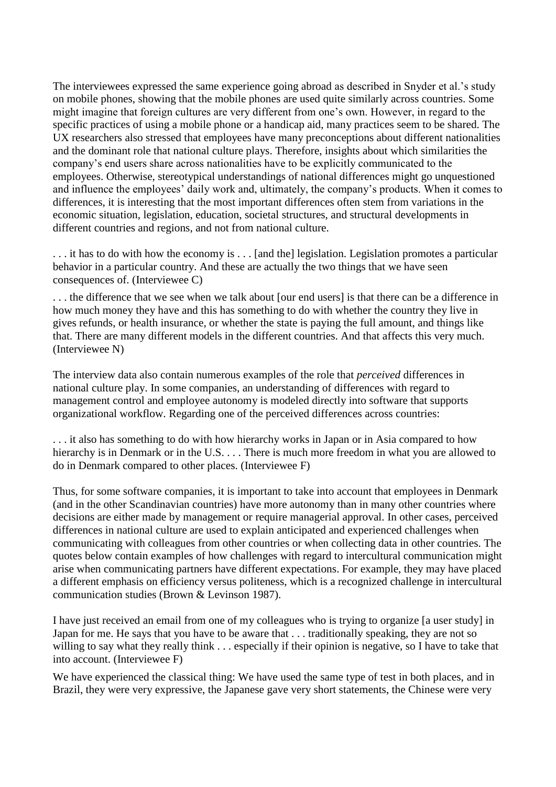The interviewees expressed the same experience going abroad as described in Snyder et al.'s study on mobile phones, showing that the mobile phones are used quite similarly across countries. Some might imagine that foreign cultures are very different from one's own. However, in regard to the specific practices of using a mobile phone or a handicap aid, many practices seem to be shared. The UX researchers also stressed that employees have many preconceptions about different nationalities and the dominant role that national culture plays. Therefore, insights about which similarities the company's end users share across nationalities have to be explicitly communicated to the employees. Otherwise, stereotypical understandings of national differences might go unquestioned and influence the employees' daily work and, ultimately, the company's products. When it comes to differences, it is interesting that the most important differences often stem from variations in the economic situation, legislation, education, societal structures, and structural developments in different countries and regions, and not from national culture.

. . . it has to do with how the economy is . . . [and the] legislation. Legislation promotes a particular behavior in a particular country. And these are actually the two things that we have seen consequences of. (Interviewee C)

. . . the difference that we see when we talk about [our end users] is that there can be a difference in how much money they have and this has something to do with whether the country they live in gives refunds, or health insurance, or whether the state is paying the full amount, and things like that. There are many different models in the different countries. And that affects this very much. (Interviewee N)

The interview data also contain numerous examples of the role that *perceived* differences in national culture play. In some companies, an understanding of differences with regard to management control and employee autonomy is modeled directly into software that supports organizational workflow. Regarding one of the perceived differences across countries:

. . . it also has something to do with how hierarchy works in Japan or in Asia compared to how hierarchy is in Denmark or in the U.S. . . . There is much more freedom in what you are allowed to do in Denmark compared to other places. (Interviewee F)

Thus, for some software companies, it is important to take into account that employees in Denmark (and in the other Scandinavian countries) have more autonomy than in many other countries where decisions are either made by management or require managerial approval. In other cases, perceived differences in national culture are used to explain anticipated and experienced challenges when communicating with colleagues from other countries or when collecting data in other countries. The quotes below contain examples of how challenges with regard to intercultural communication might arise when communicating partners have different expectations. For example, they may have placed a different emphasis on efficiency versus politeness, which is a recognized challenge in intercultural communication studies (Brown & Levinson 1987).

I have just received an email from one of my colleagues who is trying to organize [a user study] in Japan for me. He says that you have to be aware that . . . traditionally speaking, they are not so willing to say what they really think . . . especially if their opinion is negative, so I have to take that into account. (Interviewee F)

We have experienced the classical thing: We have used the same type of test in both places, and in Brazil, they were very expressive, the Japanese gave very short statements, the Chinese were very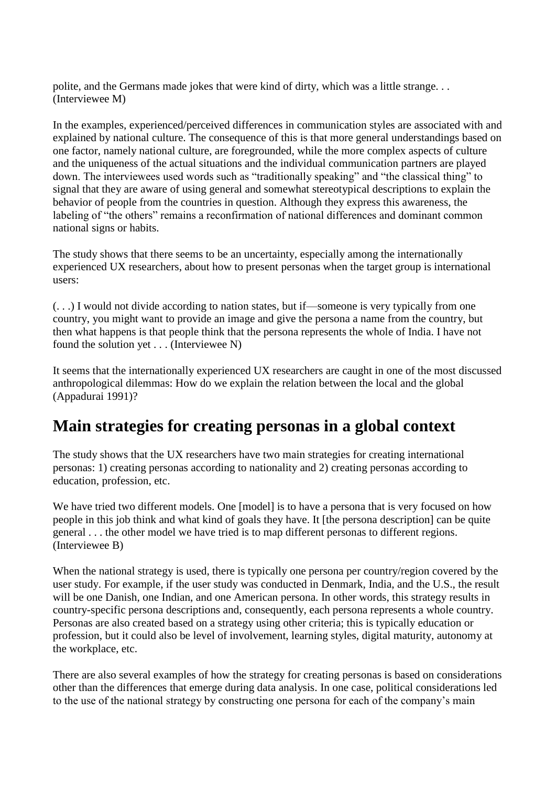polite, and the Germans made jokes that were kind of dirty, which was a little strange. . . (Interviewee M)

In the examples, experienced/perceived differences in communication styles are associated with and explained by national culture. The consequence of this is that more general understandings based on one factor, namely national culture, are foregrounded, while the more complex aspects of culture and the uniqueness of the actual situations and the individual communication partners are played down. The interviewees used words such as "traditionally speaking" and "the classical thing" to signal that they are aware of using general and somewhat stereotypical descriptions to explain the behavior of people from the countries in question. Although they express this awareness, the labeling of "the others" remains a reconfirmation of national differences and dominant common national signs or habits.

The study shows that there seems to be an uncertainty, especially among the internationally experienced UX researchers, about how to present personas when the target group is international users:

(. . .) I would not divide according to nation states, but if—someone is very typically from one country, you might want to provide an image and give the persona a name from the country, but then what happens is that people think that the persona represents the whole of India. I have not found the solution yet . . . (Interviewee N)

It seems that the internationally experienced UX researchers are caught in one of the most discussed anthropological dilemmas: How do we explain the relation between the local and the global (Appadurai 1991)?

### **Main strategies for creating personas in a global context**

The study shows that the UX researchers have two main strategies for creating international personas: 1) creating personas according to nationality and 2) creating personas according to education, profession, etc.

We have tried two different models. One [model] is to have a persona that is very focused on how people in this job think and what kind of goals they have. It [the persona description] can be quite general . . . the other model we have tried is to map different personas to different regions. (Interviewee B)

When the national strategy is used, there is typically one persona per country/region covered by the user study. For example, if the user study was conducted in Denmark, India, and the U.S., the result will be one Danish, one Indian, and one American persona. In other words, this strategy results in country-specific persona descriptions and, consequently, each persona represents a whole country. Personas are also created based on a strategy using other criteria; this is typically education or profession, but it could also be level of involvement, learning styles, digital maturity, autonomy at the workplace, etc.

There are also several examples of how the strategy for creating personas is based on considerations other than the differences that emerge during data analysis. In one case, political considerations led to the use of the national strategy by constructing one persona for each of the company's main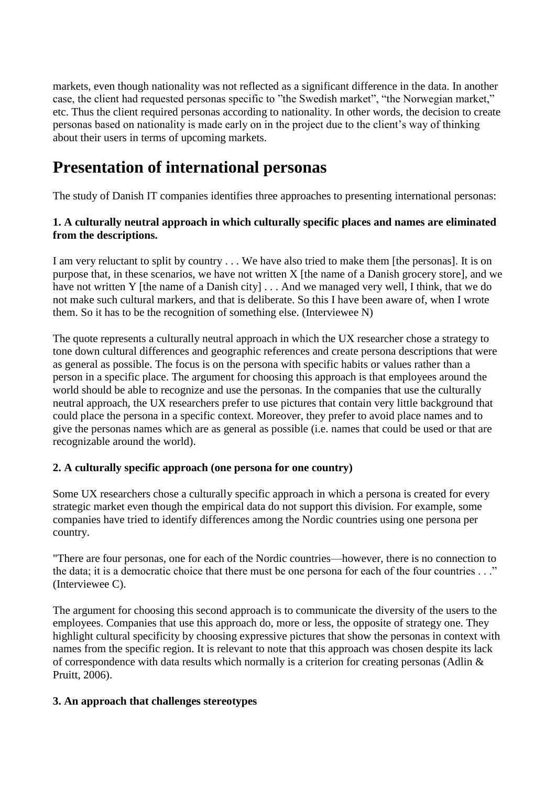markets, even though nationality was not reflected as a significant difference in the data. In another case, the client had requested personas specific to "the Swedish market", "the Norwegian market," etc. Thus the client required personas according to nationality. In other words, the decision to create personas based on nationality is made early on in the project due to the client's way of thinking about their users in terms of upcoming markets.

### **Presentation of international personas**

The study of Danish IT companies identifies three approaches to presenting international personas:

#### **1. A culturally neutral approach in which culturally specific places and names are eliminated from the descriptions.**

I am very reluctant to split by country . . . We have also tried to make them [the personas]. It is on purpose that, in these scenarios, we have not written X [the name of a Danish grocery store], and we have not written Y [the name of a Danish city] . . . And we managed very well, I think, that we do not make such cultural markers, and that is deliberate. So this I have been aware of, when I wrote them. So it has to be the recognition of something else. (Interviewee N)

The quote represents a culturally neutral approach in which the UX researcher chose a strategy to tone down cultural differences and geographic references and create persona descriptions that were as general as possible. The focus is on the persona with specific habits or values rather than a person in a specific place. The argument for choosing this approach is that employees around the world should be able to recognize and use the personas. In the companies that use the culturally neutral approach, the UX researchers prefer to use pictures that contain very little background that could place the persona in a specific context. Moreover, they prefer to avoid place names and to give the personas names which are as general as possible (i.e. names that could be used or that are recognizable around the world).

#### **2. A culturally specific approach (one persona for one country)**

Some UX researchers chose a culturally specific approach in which a persona is created for every strategic market even though the empirical data do not support this division. For example, some companies have tried to identify differences among the Nordic countries using one persona per country.

"There are four personas, one for each of the Nordic countries—however, there is no connection to the data; it is a democratic choice that there must be one persona for each of the four countries . . ." (Interviewee C).

The argument for choosing this second approach is to communicate the diversity of the users to the employees. Companies that use this approach do, more or less, the opposite of strategy one. They highlight cultural specificity by choosing expressive pictures that show the personas in context with names from the specific region. It is relevant to note that this approach was chosen despite its lack of correspondence with data results which normally is a criterion for creating personas (Adlin & Pruitt, 2006).

#### **3. An approach that challenges stereotypes**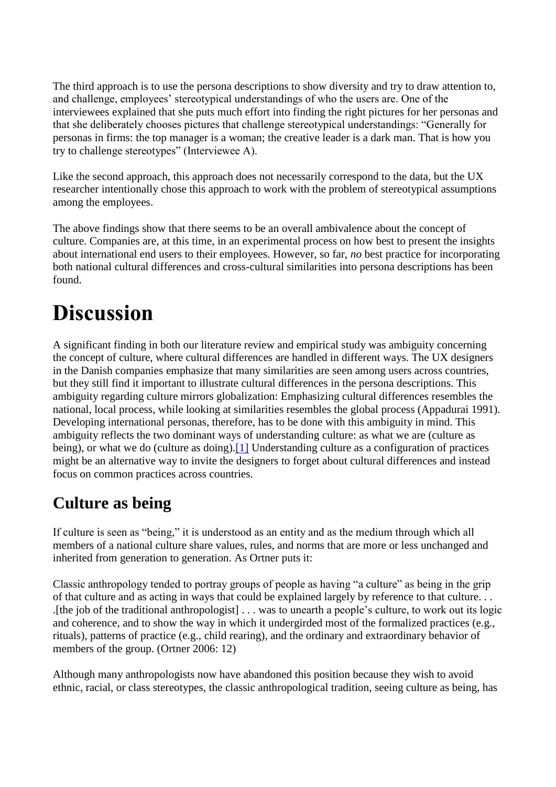The third approach is to use the persona descriptions to show diversity and try to draw attention to, and challenge, employees' stereotypical understandings of who the users are. One of the interviewees explained that she puts much effort into finding the right pictures for her personas and that she deliberately chooses pictures that challenge stereotypical understandings: "Generally for personas in firms: the top manager is a woman; the creative leader is a dark man. That is how you try to challenge stereotypes" (Interviewee A).

Like the second approach, this approach does not necessarily correspond to the data, but the UX researcher intentionally chose this approach to work with the problem of stereotypical assumptions among the employees.

The above findings show that there seems to be an overall ambivalence about the concept of culture. Companies are, at this time, in an experimental process on how best to present the insights about international end users to their employees. However, so far, *no* best practice for incorporating both national cultural differences and cross-cultural similarities into persona descriptions has been found.

# **Discussion**

A significant finding in both our literature review and empirical study was ambiguity concerning the concept of culture, where cultural differences are handled in different ways. The UX designers in the Danish companies emphasize that many similarities are seen among users across countries, but they still find it important to illustrate cultural differences in the persona descriptions. This ambiguity regarding culture mirrors globalization: Emphasizing cultural differences resembles the national, local process, while looking at similarities resembles the global process (Appadurai 1991). Developing international personas, therefore, has to be done with this ambiguity in mind. This ambiguity reflects the two dominant ways of understanding culture: as what we are (culture as being), or what we do (culture as doing).<sup>[1]</sup> Understanding culture as a configuration of practices might be an alternative way to invite the designers to forget about cultural differences and instead focus on common practices across countries.

### **Culture as being**

If culture is seen as "being," it is understood as an entity and as the medium through which all members of a national culture share values, rules, and norms that are more or less unchanged and inherited from generation to generation. As Ortner puts it:

Classic anthropology tended to portray groups of people as having "a culture" as being in the grip of that culture and as acting in ways that could be explained largely by reference to that culture. . . .[the job of the traditional anthropologist] . . . was to unearth a people's culture, to work out its logic and coherence, and to show the way in which it undergirded most of the formalized practices (e.g., rituals), patterns of practice (e.g., child rearing), and the ordinary and extraordinary behavior of members of the group. (Ortner 2006: 12)

Although many anthropologists now have abandoned this position because they wish to avoid ethnic, racial, or class stereotypes, the classic anthropological tradition, seeing culture as being, has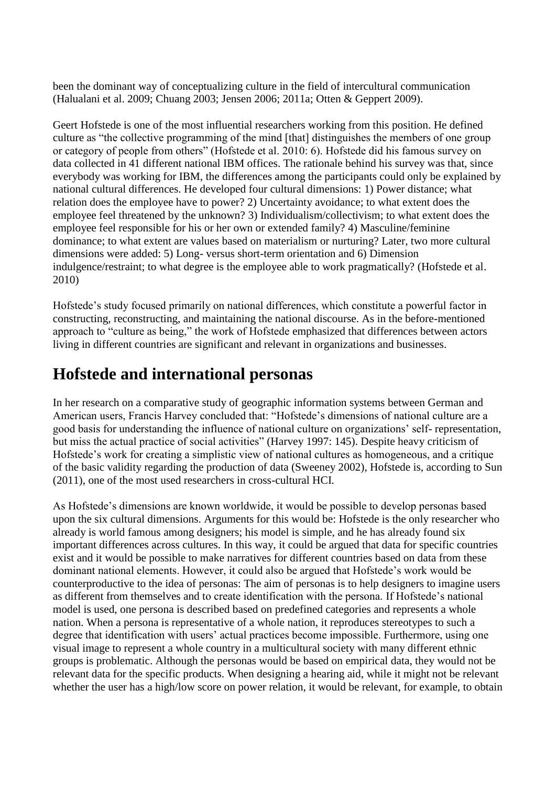been the dominant way of conceptualizing culture in the field of intercultural communication (Halualani et al. 2009; Chuang 2003; Jensen 2006; 2011a; Otten & Geppert 2009).

Geert Hofstede is one of the most influential researchers working from this position. He defined culture as "the collective programming of the mind [that] distinguishes the members of one group or category of people from others" (Hofstede et al. 2010: 6). Hofstede did his famous survey on data collected in 41 different national IBM offices. The rationale behind his survey was that, since everybody was working for IBM, the differences among the participants could only be explained by national cultural differences. He developed four cultural dimensions: 1) Power distance; what relation does the employee have to power? 2) Uncertainty avoidance; to what extent does the employee feel threatened by the unknown? 3) Individualism/collectivism; to what extent does the employee feel responsible for his or her own or extended family? 4) Masculine/feminine dominance; to what extent are values based on materialism or nurturing? Later, two more cultural dimensions were added: 5) Long- versus short-term orientation and 6) Dimension indulgence/restraint; to what degree is the employee able to work pragmatically? (Hofstede et al. 2010)

Hofstede's study focused primarily on national differences, which constitute a powerful factor in constructing, reconstructing, and maintaining the national discourse. As in the before-mentioned approach to "culture as being," the work of Hofstede emphasized that differences between actors living in different countries are significant and relevant in organizations and businesses.

### **Hofstede and international personas**

In her research on a comparative study of geographic information systems between German and American users, Francis Harvey concluded that: "Hofstede's dimensions of national culture are a good basis for understanding the influence of national culture on organizations' self- representation, but miss the actual practice of social activities" (Harvey 1997: 145). Despite heavy criticism of Hofstede's work for creating a simplistic view of national cultures as homogeneous, and a critique of the basic validity regarding the production of data (Sweeney 2002), Hofstede is, according to Sun (2011), one of the most used researchers in cross-cultural HCI.

As Hofstede's dimensions are known worldwide, it would be possible to develop personas based upon the six cultural dimensions. Arguments for this would be: Hofstede is the only researcher who already is world famous among designers; his model is simple, and he has already found six important differences across cultures. In this way, it could be argued that data for specific countries exist and it would be possible to make narratives for different countries based on data from these dominant national elements. However, it could also be argued that Hofstede's work would be counterproductive to the idea of personas: The aim of personas is to help designers to imagine users as different from themselves and to create identification with the persona. If Hofstede's national model is used, one persona is described based on predefined categories and represents a whole nation. When a persona is representative of a whole nation, it reproduces stereotypes to such a degree that identification with users' actual practices become impossible. Furthermore, using one visual image to represent a whole country in a multicultural society with many different ethnic groups is problematic. Although the personas would be based on empirical data, they would not be relevant data for the specific products. When designing a hearing aid, while it might not be relevant whether the user has a high/low score on power relation, it would be relevant, for example, to obtain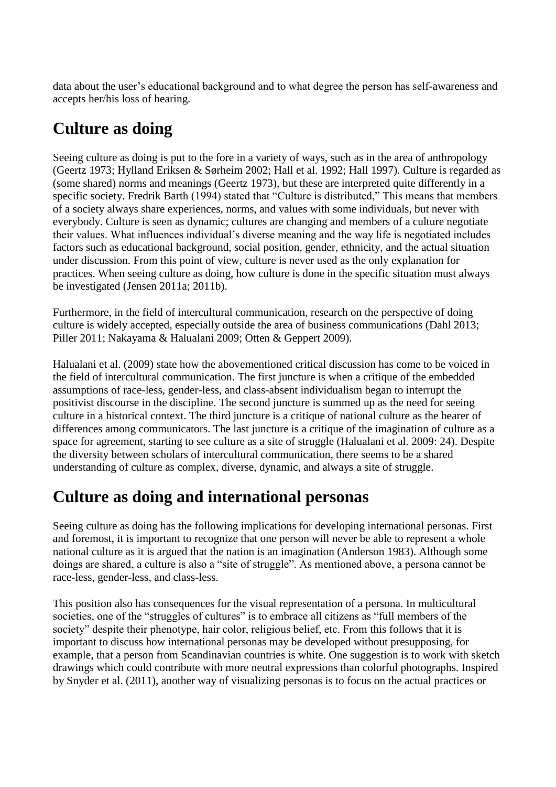data about the user's educational background and to what degree the person has self-awareness and accepts her/his loss of hearing.

### **Culture as doing**

Seeing culture as doing is put to the fore in a variety of ways, such as in the area of anthropology (Geertz 1973; Hylland Eriksen & Sørheim 2002; Hall et al. 1992; Hall 1997). Culture is regarded as (some shared) norms and meanings (Geertz 1973), but these are interpreted quite differently in a specific society. Fredrik Barth (1994) stated that "Culture is distributed," This means that members of a society always share experiences, norms, and values with some individuals, but never with everybody. Culture is seen as dynamic; cultures are changing and members of a culture negotiate their values. What influences individual's diverse meaning and the way life is negotiated includes factors such as educational background, social position, gender, ethnicity, and the actual situation under discussion. From this point of view, culture is never used as the only explanation for practices. When seeing culture as doing, how culture is done in the specific situation must always be investigated (Jensen 2011a; 2011b).

Furthermore, in the field of intercultural communication, research on the perspective of doing culture is widely accepted, especially outside the area of business communications (Dahl 2013; Piller 2011; Nakayama & Halualani 2009; Otten & Geppert 2009).

Halualani et al. (2009) state how the abovementioned critical discussion has come to be voiced in the field of intercultural communication. The first juncture is when a critique of the embedded assumptions of race-less, gender-less, and class-absent individualism began to interrupt the positivist discourse in the discipline. The second juncture is summed up as the need for seeing culture in a historical context. The third juncture is a critique of national culture as the bearer of differences among communicators. The last juncture is a critique of the imagination of culture as a space for agreement, starting to see culture as a site of struggle (Halualani et al. 2009: 24). Despite the diversity between scholars of intercultural communication, there seems to be a shared understanding of culture as complex, diverse, dynamic, and always a site of struggle.

### **Culture as doing and international personas**

Seeing culture as doing has the following implications for developing international personas. First and foremost, it is important to recognize that one person will never be able to represent a whole national culture as it is argued that the nation is an imagination (Anderson 1983). Although some doings are shared, a culture is also a "site of struggle". As mentioned above, a persona cannot be race-less, gender-less, and class-less.

This position also has consequences for the visual representation of a persona. In multicultural societies, one of the "struggles of cultures" is to embrace all citizens as "full members of the society" despite their phenotype, hair color, religious belief, etc. From this follows that it is important to discuss how international personas may be developed without presupposing, for example, that a person from Scandinavian countries is white. One suggestion is to work with sketch drawings which could contribute with more neutral expressions than colorful photographs. Inspired by Snyder et al. (2011), another way of visualizing personas is to focus on the actual practices or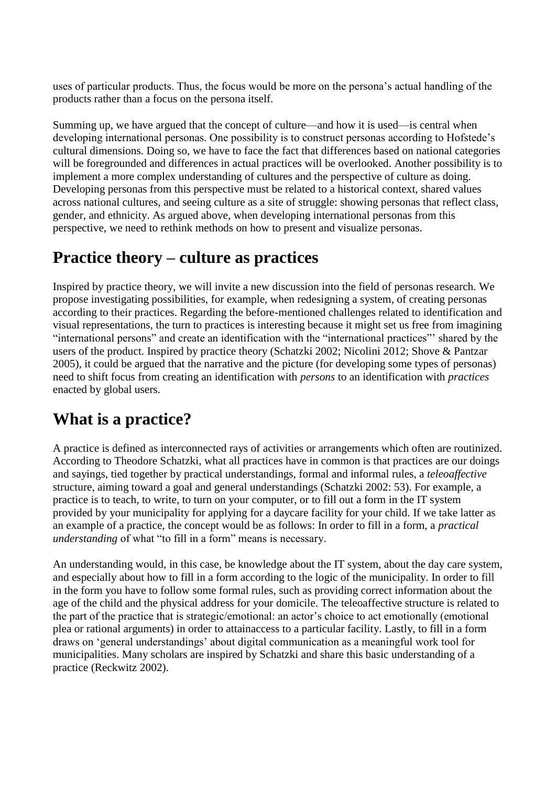uses of particular products. Thus, the focus would be more on the persona's actual handling of the products rather than a focus on the persona itself.

Summing up, we have argued that the concept of culture—and how it is used—is central when developing international personas. One possibility is to construct personas according to Hofstede's cultural dimensions. Doing so, we have to face the fact that differences based on national categories will be foregrounded and differences in actual practices will be overlooked. Another possibility is to implement a more complex understanding of cultures and the perspective of culture as doing. Developing personas from this perspective must be related to a historical context, shared values across national cultures, and seeing culture as a site of struggle: showing personas that reflect class, gender, and ethnicity. As argued above, when developing international personas from this perspective, we need to rethink methods on how to present and visualize personas.

### **Practice theory – culture as practices**

Inspired by practice theory, we will invite a new discussion into the field of personas research. We propose investigating possibilities, for example, when redesigning a system, of creating personas according to their practices. Regarding the before-mentioned challenges related to identification and visual representations, the turn to practices is interesting because it might set us free from imagining "international persons" and create an identification with the "international practices"' shared by the users of the product. Inspired by practice theory (Schatzki 2002; Nicolini 2012; Shove & Pantzar 2005), it could be argued that the narrative and the picture (for developing some types of personas) need to shift focus from creating an identification with *persons* to an identification with *practices* enacted by global users.

### **What is a practice?**

A practice is defined as interconnected rays of activities or arrangements which often are routinized. According to Theodore Schatzki, what all practices have in common is that practices are our doings and sayings, tied together by practical understandings, formal and informal rules, a *teleoaffective* structure, aiming toward a goal and general understandings (Schatzki 2002: 53). For example, a practice is to teach, to write, to turn on your computer, or to fill out a form in the IT system provided by your municipality for applying for a daycare facility for your child. If we take latter as an example of a practice, the concept would be as follows: In order to fill in a form, a *practical understanding* of what "to fill in a form" means is necessary.

An understanding would, in this case, be knowledge about the IT system, about the day care system, and especially about how to fill in a form according to the logic of the municipality. In order to fill in the form you have to follow some formal rules, such as providing correct information about the age of the child and the physical address for your domicile. The teleoaffective structure is related to the part of the practice that is strategic/emotional: an actor's choice to act emotionally (emotional plea or rational arguments) in order to attainaccess to a particular facility. Lastly, to fill in a form draws on 'general understandings' about digital communication as a meaningful work tool for municipalities. Many scholars are inspired by Schatzki and share this basic understanding of a practice (Reckwitz 2002).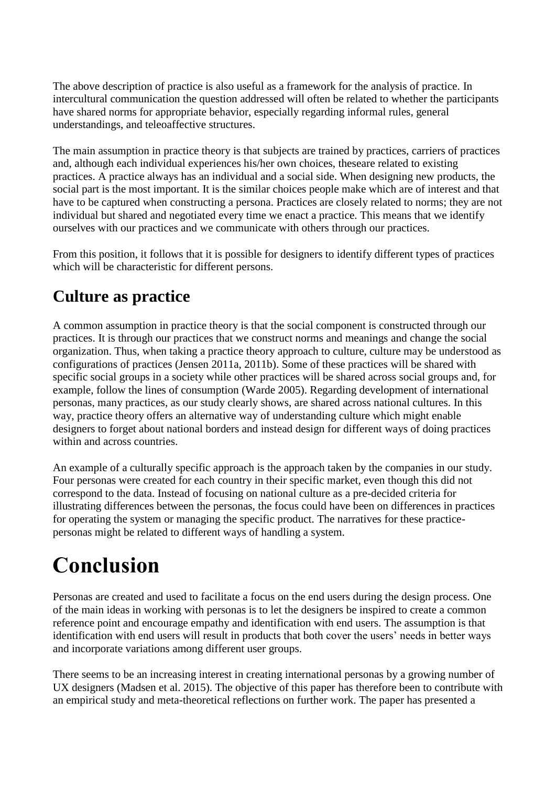The above description of practice is also useful as a framework for the analysis of practice. In intercultural communication the question addressed will often be related to whether the participants have shared norms for appropriate behavior, especially regarding informal rules, general understandings, and teleoaffective structures.

The main assumption in practice theory is that subjects are trained by practices, carriers of practices and, although each individual experiences his/her own choices, theseare related to existing practices. A practice always has an individual and a social side. When designing new products, the social part is the most important. It is the similar choices people make which are of interest and that have to be captured when constructing a persona. Practices are closely related to norms; they are not individual but shared and negotiated every time we enact a practice. This means that we identify ourselves with our practices and we communicate with others through our practices.

From this position, it follows that it is possible for designers to identify different types of practices which will be characteristic for different persons.

### **Culture as practice**

A common assumption in practice theory is that the social component is constructed through our practices. It is through our practices that we construct norms and meanings and change the social organization. Thus, when taking a practice theory approach to culture, culture may be understood as configurations of practices (Jensen 2011a, 2011b). Some of these practices will be shared with specific social groups in a society while other practices will be shared across social groups and, for example, follow the lines of consumption (Warde 2005). Regarding development of international personas, many practices, as our study clearly shows, are shared across national cultures. In this way, practice theory offers an alternative way of understanding culture which might enable designers to forget about national borders and instead design for different ways of doing practices within and across countries.

An example of a culturally specific approach is the approach taken by the companies in our study. Four personas were created for each country in their specific market, even though this did not correspond to the data. Instead of focusing on national culture as a pre-decided criteria for illustrating differences between the personas, the focus could have been on differences in practices for operating the system or managing the specific product. The narratives for these practicepersonas might be related to different ways of handling a system.

# **Conclusion**

Personas are created and used to facilitate a focus on the end users during the design process. One of the main ideas in working with personas is to let the designers be inspired to create a common reference point and encourage empathy and identification with end users. The assumption is that identification with end users will result in products that both cover the users' needs in better ways and incorporate variations among different user groups.

There seems to be an increasing interest in creating international personas by a growing number of UX designers (Madsen et al. 2015). The objective of this paper has therefore been to contribute with an empirical study and meta-theoretical reflections on further work. The paper has presented a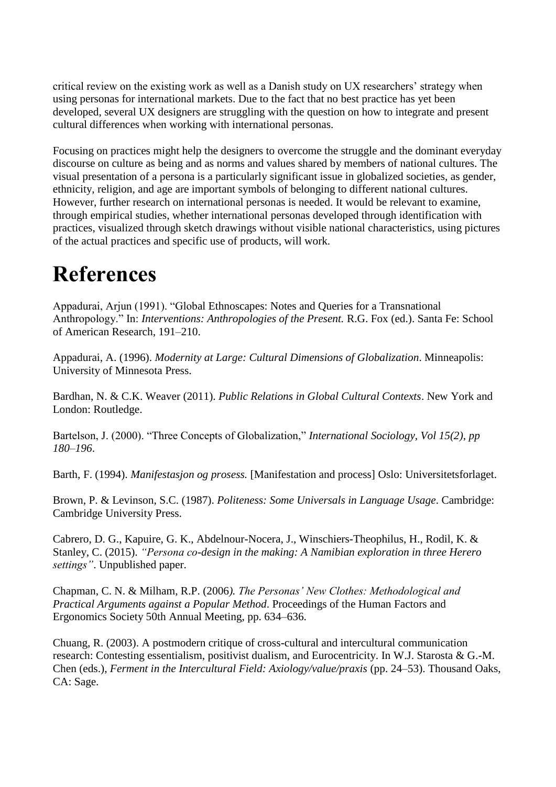critical review on the existing work as well as a Danish study on UX researchers' strategy when using personas for international markets. Due to the fact that no best practice has yet been developed, several UX designers are struggling with the question on how to integrate and present cultural differences when working with international personas.

Focusing on practices might help the designers to overcome the struggle and the dominant everyday discourse on culture as being and as norms and values shared by members of national cultures. The visual presentation of a persona is a particularly significant issue in globalized societies, as gender, ethnicity, religion, and age are important symbols of belonging to different national cultures. However, further research on international personas is needed. It would be relevant to examine, through empirical studies, whether international personas developed through identification with practices, visualized through sketch drawings without visible national characteristics, using pictures of the actual practices and specific use of products, will work.

# **References**

Appadurai, Arjun (1991). "Global Ethnoscapes: Notes and Queries for a Transnational Anthropology." In: *Interventions: Anthropologies of the Present.* R.G. Fox (ed.). Santa Fe: School of American Research, 191–210.

Appadurai, A. (1996). *Modernity at Large: Cultural Dimensions of Globalization*. Minneapolis: University of Minnesota Press.

Bardhan, N. & C.K. Weaver (2011). *Public Relations in Global Cultural Contexts*. New York and London: Routledge.

Bartelson, J. (2000). "Three Concepts of Globalization," *International Sociology, Vol 15(2), pp 180–196*.

Barth, F. (1994). *Manifestasjon og prosess.* [Manifestation and process] Oslo: Universitetsforlaget.

Brown, P. & Levinson, S.C. (1987). *Politeness: Some Universals in Language Usage*. Cambridge: Cambridge University Press.

Cabrero, D. G., Kapuire, G. K., Abdelnour-Nocera, J., Winschiers-Theophilus, H., Rodil, K. & Stanley, C. (2015). *"Persona co-design in the making: A Namibian exploration in three Herero settings"*. Unpublished paper.

Chapman, C. N. & Milham, R.P. (2006*). The Personas' New Clothes: Methodological and Practical Arguments against a Popular Method*. Proceedings of the Human Factors and Ergonomics Society 50th Annual Meeting, pp. 634–636.

Chuang, R. (2003). A postmodern critique of cross-cultural and intercultural communication research: Contesting essentialism, positivist dualism, and Eurocentricity. In W.J. Starosta & G.-M. Chen (eds.), *Ferment in the Intercultural Field: Axiology/value/praxis* (pp. 24*–*53). Thousand Oaks, CA: Sage.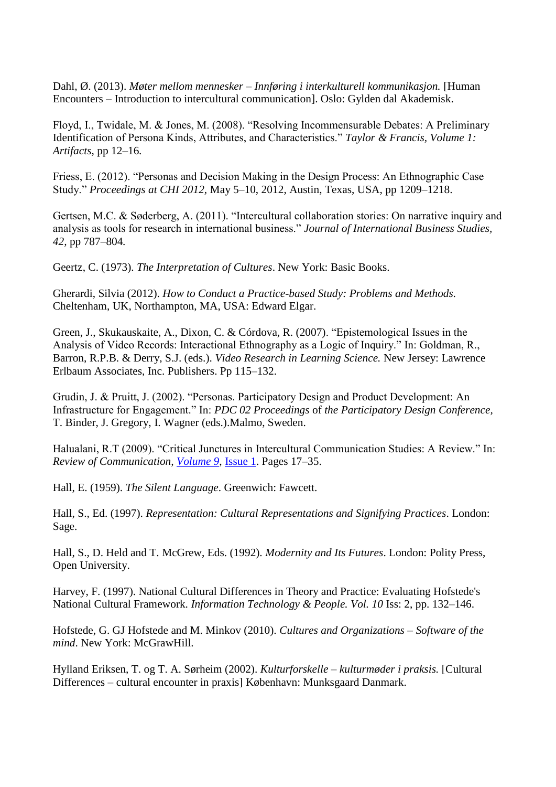Dahl, Ø. (2013). *Møter mellom mennesker – Innføring i interkulturell kommunikasjon.* [Human Encounters – Introduction to intercultural communication]. Oslo: Gylden dal Akademisk.

Floyd, I., Twidale, M. & Jones, M. (2008). "Resolving Incommensurable Debates: A Preliminary Identification of Persona Kinds, Attributes, and Characteristics." *Taylor & Francis, Volume 1: Artifacts*, pp 12–16*.*

Friess, E. (2012). "Personas and Decision Making in the Design Process: An Ethnographic Case Study." *Proceedings at CHI 2012,* May 5–10, 2012, Austin, Texas, USA, pp 1209*–*1218.

Gertsen, M.C. & Søderberg, A. (2011). "Intercultural collaboration stories: On narrative inquiry and analysis as tools for research in international business." *Journal of International Business Studies, 42,* pp 787–804*.* 

Geertz, C. (1973). *The Interpretation of Cultures*. New York: Basic Books.

Gherardi, Silvia (2012). *How to Conduct a Practice-based Study: Problems and Methods.* Cheltenham, UK, Northampton, MA, USA: Edward Elgar.

Green, J., Skukauskaite, A., Dixon, C. & Córdova, R. (2007). "Epistemological Issues in the Analysis of Video Records: Interactional Ethnography as a Logic of Inquiry." In: Goldman, R., Barron, R.P.B. & Derry, S.J. (eds.). *Video Research in Learning Science.* New Jersey: Lawrence Erlbaum Associates, Inc. Publishers. Pp 115*–*132.

Grudin, J. & Pruitt, J. (2002). "Personas. Participatory Design and Product Development: An Infrastructure for Engagement." In: *PDC 02 Proceedings* of *the Participatory Design Conference,*  T. Binder, J. Gregory, I. Wagner (eds.).Malmo, Sweden.

Halualani, R.T (2009). "Critical Junctures in Intercultural Communication Studies: A Review." In: *Review of Communication, [Volume 9](http://www.tandfonline.com/loi/rroc20?open=9#vol_9)*, [Issue 1.](http://www.tandfonline.com/toc/rroc20/9/1) Pages 17*–*35.

Hall, E. (1959). *The Silent Language*. Greenwich: Fawcett.

Hall, S., Ed. (1997). *Representation: Cultural Representations and Signifying Practices*. London: Sage.

Hall, S., D. Held and T. McGrew, Eds. (1992). *Modernity and Its Futures*. London: Polity Press, Open University.

Harvey, F. (1997). National Cultural Differences in Theory and Practice: Evaluating Hofstede's National Cultural Framework. *Information Technology & People. Vol. 10* Iss: 2, pp. 132*–*146.

Hofstede, G. GJ Hofstede and M. Minkov (2010). *Cultures and Organizations – Software of the mind*. New York: McGrawHill.

Hylland Eriksen, T. og T. A. Sørheim (2002). *Kulturforskelle – kulturmøder i praksis.* [Cultural Differences – cultural encounter in praxis] København: Munksgaard Danmark.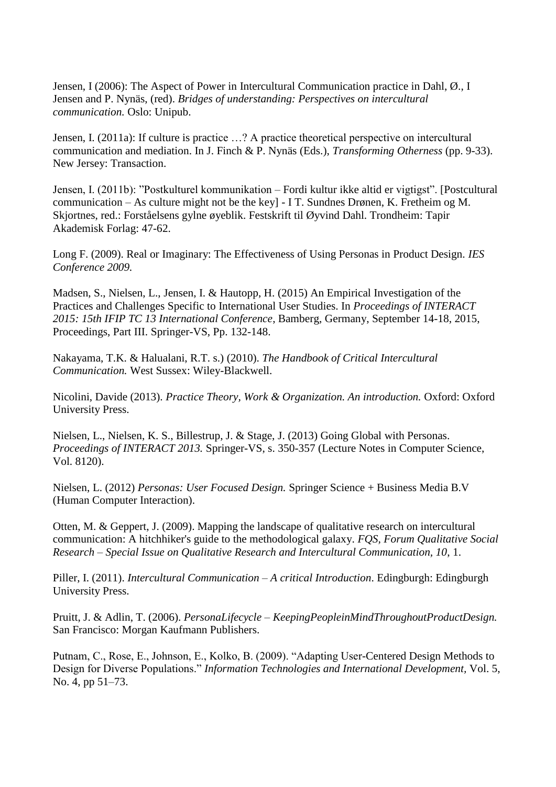Jensen, I (2006): The Aspect of Power in Intercultural Communication practice in Dahl, Ø., I Jensen and P. Nynäs, (red). *Bridges of understanding: Perspectives on intercultural communication.* Oslo: Unipub.

Jensen, I. (2011a): If culture is practice …? A practice theoretical perspective on intercultural communication and mediation. In J. Finch & P. Nynäs (Eds.), *Transforming Otherness* (pp. 9-33). New Jersey: Transaction.

Jensen, I. (2011b): "Postkulturel kommunikation – Fordi kultur ikke altid er vigtigst". [Postcultural communication – As culture might not be the key] - I T. Sundnes Drønen, K. Fretheim og M. Skjortnes, red.: Forståelsens gylne øyeblik. Festskrift til Øyvind Dahl. Trondheim: Tapir Akademisk Forlag: 47-62.

Long F. (2009). Real or Imaginary: The Effectiveness of Using Personas in Product Design. *IES Conference 2009.*

Madsen, S., Nielsen, L., Jensen, I. & Hautopp, H. (2015) An Empirical Investigation of the Practices and Challenges Specific to International User Studies. In *Proceedings of INTERACT 2015: 15th IFIP TC 13 International Conference*, Bamberg, Germany, September 14-18, 2015, Proceedings, Part III. Springer-VS, Pp. 132-148.

Nakayama, T.K. & Halualani, R.T. s.) (2010). *The Handbook of Critical Intercultural Communication.* West Sussex: Wiley-Blackwell.

Nicolini, Davide (2013). *Practice Theory, Work & Organization. An introduction.* Oxford: Oxford University Press.

Nielsen, L., Nielsen, K. S., Billestrup, J. & Stage, J. (2013) Going Global with Personas. *Proceedings of INTERACT 2013.* Springer-VS, s. 350-357 (Lecture Notes in Computer Science, Vol. 8120).

Nielsen, L. (2012) *Personas: User Focused Design.* Springer Science + Business Media B.V (Human Computer Interaction).

Otten, M. & Geppert, J. (2009). Mapping the landscape of qualitative research on intercultural communication: A hitchhiker's guide to the methodological galaxy. *FQS, Forum Qualitative Social Research – Special Issue on Qualitative Research and Intercultural Communication, 10*, 1.

Piller, I. (2011). *Intercultural Communication – A critical Introduction*. Edingburgh: Edingburgh University Press.

Pruitt, J. & Adlin, T. (2006). *PersonaLifecycle* – *KeepingPeopleinMindThroughoutProductDesign.* San Francisco: Morgan Kaufmann Publishers.

Putnam, C., Rose, E., Johnson, E., Kolko, B. (2009). "Adapting User-Centered Design Methods to Design for Diverse Populations." *Information Technologies and International Development,* Vol. 5, No. 4, pp 51–73.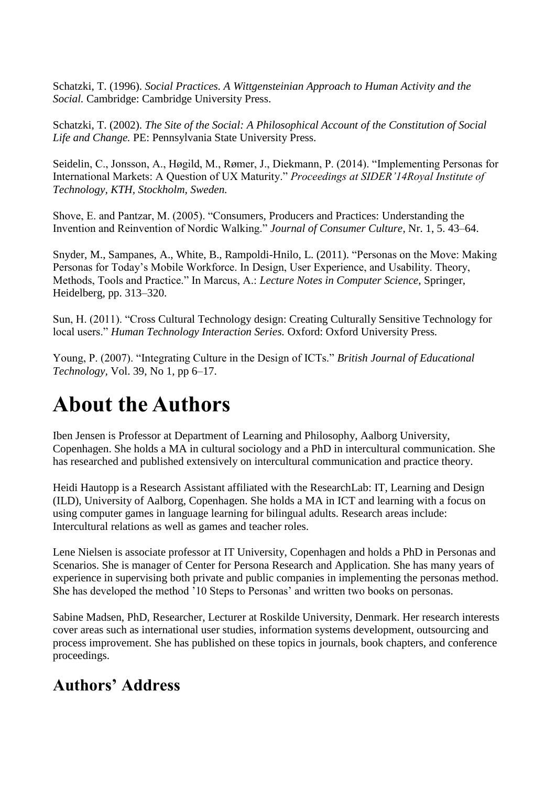Schatzki, T. (1996). *Social Practices. A Wittgensteinian Approach to Human Activity and the Social.* Cambridge: Cambridge University Press.

Schatzki, T. (2002). *The Site of the Social: A Philosophical Account of the Constitution of Social Life and Change.* PE: Pennsylvania State University Press.

Seidelin, C., Jonsson, A., Høgild, M., Rømer, J., Diekmann, P. (2014). "Implementing Personas for International Markets: A Question of UX Maturity." *Proceedings at SIDER'14Royal Institute of Technology, KTH, Stockholm, Sweden.*

Shove, E. and Pantzar, M. (2005). "Consumers, Producers and Practices: Understanding the Invention and Reinvention of Nordic Walking." *Journal of Consumer Culture*, Nr. 1, 5. 43*–*64.

Snyder, M., Sampanes, A., White, B., Rampoldi-Hnilo, L. (2011). "Personas on the Move: Making Personas for Today's Mobile Workforce. In Design, User Experience, and Usability. Theory, Methods, Tools and Practice." In Marcus, A.: *Lecture Notes in Computer Science*, Springer, Heidelberg, pp. 313–320.

Sun, H. (2011). "Cross Cultural Technology design: Creating Culturally Sensitive Technology for local users." *Human Technology Interaction Series.* Oxford: Oxford University Press*.*

Young, P. (2007). "Integrating Culture in the Design of ICTs." *British Journal of Educational Technology,* Vol. 39, No 1, pp 6–17.

# **About the Authors**

Iben Jensen is Professor at Department of Learning and Philosophy, Aalborg University, Copenhagen. She holds a MA in cultural sociology and a PhD in intercultural communication. She has researched and published extensively on intercultural communication and practice theory.

Heidi Hautopp is a Research Assistant affiliated with the ResearchLab: IT, Learning and Design (ILD), University of Aalborg, Copenhagen. She holds a MA in ICT and learning with a focus on using computer games in language learning for bilingual adults. Research areas include: Intercultural relations as well as games and teacher roles.

Lene Nielsen is associate professor at IT University, Copenhagen and holds a PhD in Personas and Scenarios. She is manager of Center for Persona Research and Application. She has many years of experience in supervising both private and public companies in implementing the personas method. She has developed the method '10 Steps to Personas' and written two books on personas.

Sabine Madsen, PhD, Researcher, Lecturer at Roskilde University, Denmark. Her research interests cover areas such as international user studies, information systems development, outsourcing and process improvement. She has published on these topics in journals, book chapters, and conference proceedings.

### **Authors' Address**